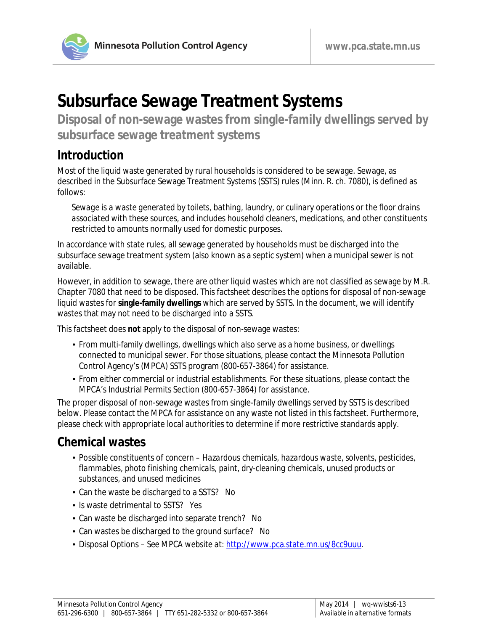

# **Subsurface Sewage Treatment Systems**

**Disposal of non-sewage wastes from single-family dwellings served by subsurface sewage treatment systems**

### **Introduction**

Most of the liquid waste generated by rural households is considered to be sewage. Sewage, as described in the Subsurface Sewage Treatment Systems (SSTS) rules (Minn. R. ch. 7080), is defined as follows:

*Sewage is a waste generated by toilets, bathing, laundry, or culinary operations or the floor drains associated with these sources, and includes household cleaners, medications, and other constituents restricted to amounts normally used for domestic purposes.* 

In accordance with state rules, all sewage generated by households must be discharged into the subsurface sewage treatment system (also known as a septic system) when a municipal sewer is not available.

However, in addition to sewage, there are other liquid wastes which are not classified as sewage by M.R. Chapter 7080 that need to be disposed. This factsheet describes the options for disposal of non-sewage liquid wastes for **single-family dwellings** which are served by SSTS. In the document, we will identify wastes that may not need to be discharged into a SSTS.

This factsheet does **not** apply to the disposal of non-sewage wastes:

- From multi-family dwellings, dwellings which also serve as a home business, or dwellings connected to municipal sewer. For those situations, please contact the Minnesota Pollution Control Agency's (MPCA) SSTS program (800-657-3864) for assistance.
- From either commercial or industrial establishments. For these situations, please contact the MPCA's Industrial Permits Section (800-657-3864) for assistance.

The proper disposal of non-sewage wastes from single-family dwellings served by SSTS is described below. Please contact the MPCA for assistance on any waste not listed in this factsheet. Furthermore, please check with appropriate local authorities to determine if more restrictive standards apply.

## **Chemical wastes**

- Possible constituents of concern *Hazardous chemicals, hazardous waste, solvents, pesticides, flammables, photo finishing chemicals, paint, dry-cleaning chemicals, unused products or substances, and unused medicines*
- Can the waste be discharged to a SSTS? *No*
- Is waste detrimental to SSTS? *Yes*
- Can waste be discharged into separate trench? *No*
- Can wastes be discharged to the ground surface? *No*
- Disposal Options *See MPCA website at:* [http://www.pca.state.mn.us/8cc9uuu.](http://www.pca.state.mn.us/index.php?option=com_k2&Itemid=818&layout=category&view=itemlist)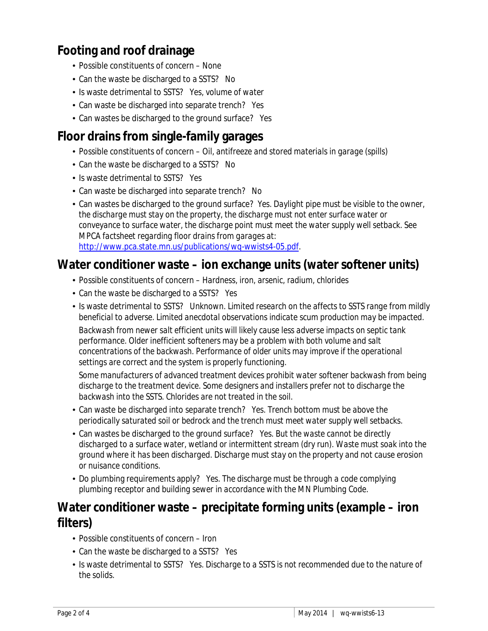# **Footing and roof drainage**

- Possible constituents of concern *None*
- Can the waste be discharged to a SSTS? *No*
- Is waste detrimental to SSTS? *Yes, volume of water*
- Can waste be discharged into separate trench? *Yes*
- Can wastes be discharged to the ground surface? *Yes*

## **Floor drains from single-family garages**

- Possible constituents of concern *Oil, antifreeze and stored materials in garage (spills)*
- Can the waste be discharged to a SSTS? *No*
- Is waste detrimental to SSTS? *Yes*
- Can waste be discharged into separate trench? *No*
- Can wastes be discharged to the ground surface? *Yes. Daylight pipe must be visible to the owner, the discharge must stay on the property, the discharge must not enter surface water or conveyance to surface water, the discharge point must meet the water supply well setback. See MPCA factsheet regarding floor drains from garages at:*  [http://www.pca.state.mn.us/publications/wq-wwists4-05.pdf.](http://www.pca.state.mn.us/publications/wq-wwists4-05.pdf)

#### **Water conditioner waste – ion exchange units (water softener units)**

- Possible constituents of concern *Hardness, iron, arsenic, radium, chlorides*
- Can the waste be discharged to a SSTS? *Yes*
- Is waste detrimental to SSTS? *Unknown*. *Limited research on the affects to SSTS range from mildly beneficial to adverse. Limited anecdotal observations indicate scum production may be impacted.*

*Backwash from newer salt efficient units will likely cause less adverse impacts on septic tank performance. Older inefficient softeners may be a problem with both volume and salt concentrations of the backwash. Performance of older units may improve if the operational settings are correct and the system is properly functioning.* 

*Some manufacturers of advanced treatment devices prohibit water softener backwash from being discharge to the treatment device. Some designers and installers prefer not to discharge the backwash into the SSTS. Chlorides are not treated in the soil.* 

- Can waste be discharged into separate trench? *Yes. Trench bottom must be above the periodically saturated soil or bedrock and the trench must meet water supply well setbacks.*
- Can wastes be discharged to the ground surface? *Yes. But the waste cannot be directly discharged to a surface water, wetland or intermittent stream (dry run). Waste must soak into the ground where it has been discharged. Discharge must stay on the property and not cause erosion or nuisance conditions.*
- Do plumbing requirements apply? *Yes. The discharge must be through a code complying plumbing receptor and building sewer in accordance with the MN Plumbing Code.*

### **Water conditioner waste – precipitate forming units (example – iron filters)**

- Possible constituents of concern *Iron*
- Can the waste be discharged to a SSTS? *Yes*
- In Substrumental to SSTS? *Yes. Discharge to a SSTS is not recommended due to the nature of the solids.*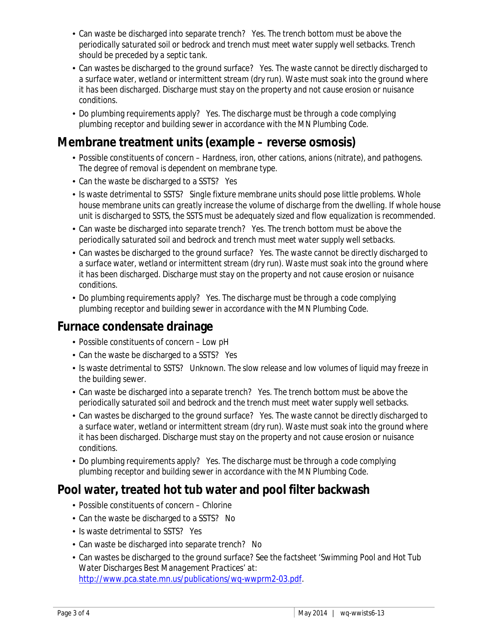- Can waste be discharged into separate trench? *Yes. The trench bottom must be above the periodically saturated soil or bedrock and trench must meet water supply well setbacks. Trench should be preceded by a septic tank.*
- Can wastes be discharged to the ground surface? *Yes. The waste cannot be directly discharged to a surface water, wetland or intermittent stream (dry run). Waste must soak into the ground where it has been discharged. Discharge must stay on the property and not cause erosion or nuisance conditions.*
- Do plumbing requirements apply? *Yes. The discharge must be through a code complying plumbing receptor and building sewer in accordance with the MN Plumbing Code.*

### **Membrane treatment units (example – reverse osmosis)**

- Possible constituents of concern *Hardness, iron, other cations, anions (nitrate), and pathogens. The degree of removal is dependent on membrane type.*
- Can the waste be discharged to a SSTS? *Yes*
- In Sumaste detrimental to SSTS? *Single fixture membrane units should pose little problems. Whole house membrane units can greatly increase the volume of discharge from the dwelling. If whole house unit is discharged to SSTS, the SSTS must be adequately sized and flow equalization is recommended.*
- Can waste be discharged into separate trench? *Yes. The trench bottom must be above the periodically saturated soil and bedrock and trench must meet water supply well setbacks.*
- Can wastes be discharged to the ground surface? *Yes. The waste cannot be directly discharged to a surface water, wetland or intermittent stream (dry run). Waste must soak into the ground where it has been discharged. Discharge must stay on the property and not cause erosion or nuisance conditions.*
- Do plumbing requirements apply? *Yes. The discharge must be through a code complying plumbing receptor and building sewer in accordance with the MN Plumbing Code.*

#### **Furnace condensate drainage**

- Possible constituents of concern *Low pH*
- Can the waste be discharged to a SSTS? *Yes*
- Is waste detrimental to SSTS? Unknown. The slow release and low volumes of liquid may freeze in *the building sewer.*
- Can waste be discharged into a separate trench? *Yes. The trench bottom must be above the periodically saturated soil and bedrock and the trench must meet water supply well setbacks.*
- Can wastes be discharged to the ground surface? *Yes. The waste cannot be directly discharged to a surface water, wetland or intermittent stream (dry run). Waste must soak into the ground where it has been discharged. Discharge must stay on the property and not cause erosion or nuisance conditions.*
- Do plumbing requirements apply? *Yes. The discharge must be through a code complying plumbing receptor and building sewer in accordance with the MN Plumbing Code.*

## **Pool water, treated hot tub water and pool filter backwash**

- Possible constituents of concern *Chlorine*
- Can the waste be discharged to a SSTS? *No*
- Is waste detrimental to SSTS? *Yes*
- Can waste be discharged into separate trench? *No*
- Can wastes be discharged to the ground surface? *See the factsheet 'Swimming Pool and Hot Tub Water Discharges Best Management Practices' at:*  [http://www.pca.state.mn.us/publications/wq-wwprm2-03.pdf.](http://www.pca.state.mn.us/publications/wq-wwprm2-03.pdf)